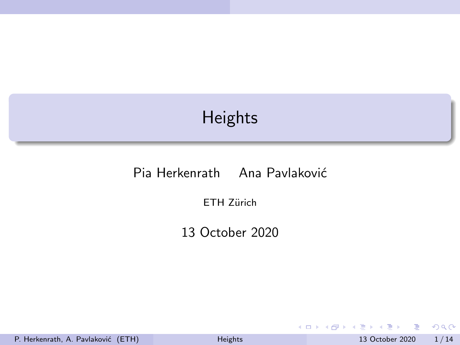# Heights

### <span id="page-0-0"></span>Pia Herkenrath Ana Pavlaković

ETH Zürich

13 October 2020

P. Herkenrath, A. Pavlaković (ETH) [Heights](#page-16-0) 13 October 2020 1/14

一番

 $ORO$ 

イロト イ部 トイモ トイモト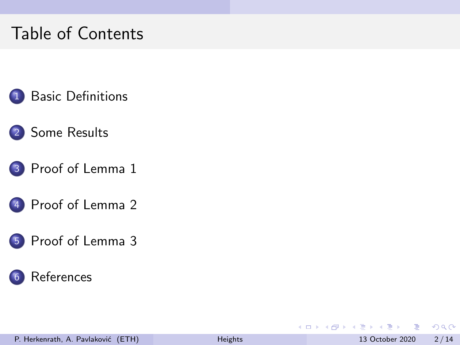# Table of Contents

- 1 [Basic Definitions](#page-2-0)
- 2 [Some Results](#page-7-0)
- 3 [Proof of Lemma 1](#page-11-0)
- 4 [Proof of Lemma 2](#page-12-0)
- 5 [Proof of Lemma 3](#page-15-0)

### 6 [References](#page-16-0)

4 0 8

目

 $QQ$ 

ヨメ メヨメ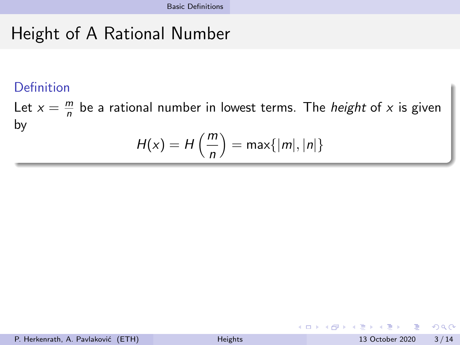## <span id="page-2-0"></span>Height of A Rational Number

### **Definition**

Let  $x = \frac{m}{n}$  $\frac{m}{n}$  be a rational number in lowest terms. The *height* of x is given by

$$
H(x) = H\left(\frac{m}{n}\right) = \max\{|m|, |n|\}
$$

æ

 $\Omega$ 

イロト イ押ト イヨト イヨ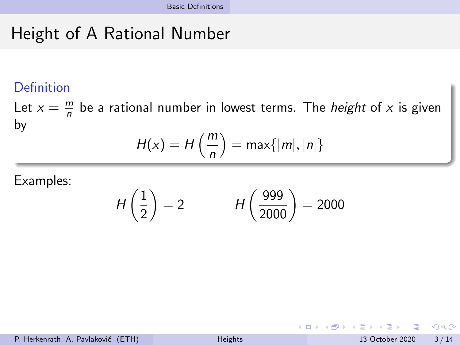## Height of A Rational Number

### **Definition**

Let  $x = \frac{m}{n}$  $\frac{m}{n}$  be a rational number in lowest terms. The *height* of x is given by

$$
H(x) = H\left(\frac{m}{n}\right) = \max\{|m|, |n|\}
$$

Examples:

$$
H\left(\frac{1}{2}\right) = 2 \qquad H\left(\frac{999}{2000}\right) = 2000
$$

æ

 $\Omega$ 

イロト イ押ト イヨト イヨ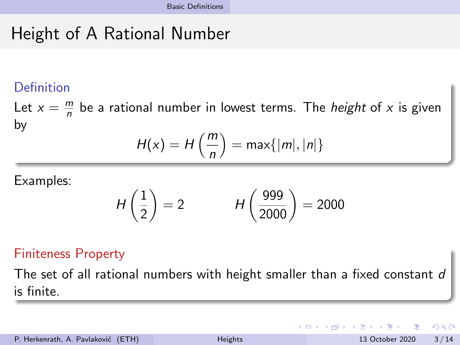# Height of A Rational Number

### Definition

Let  $x = \frac{m}{n}$  $\frac{m}{n}$  be a rational number in lowest terms. The *height* of x is given by

$$
H(x) = H\left(\frac{m}{n}\right) = \max\{|m|, |n|\}
$$

Examples:

$$
H\left(\frac{1}{2}\right) = 2 \qquad H\left(\frac{999}{2000}\right) = 2000
$$

#### Finiteness Property

The set of all rational numbers with height smaller than a fixed constant d is finite.

| P. Herkenrath, A. Pavlaković (ETH) | <b>Heights</b> | 3/14<br>13 October 2020 |
|------------------------------------|----------------|-------------------------|
|------------------------------------|----------------|-------------------------|

 $200$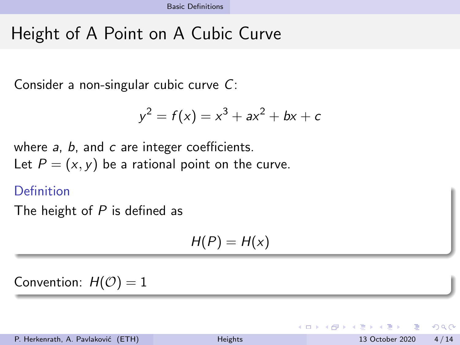# Height of A Point on A Cubic Curve

Consider a non-singular cubic curve C:

$$
y^2 = f(x) = x^3 + ax^2 + bx + c
$$

where  $a$ ,  $b$ , and  $c$  are integer coefficients. Let  $P = (x, y)$  be a rational point on the curve.

#### **Definition**

The height of  $P$  is defined as

$$
H(P)=H(x)
$$

Convention:  $H(\mathcal{O})=1$ 

 $\Omega$ 

イロト イ押ト イヨト イヨト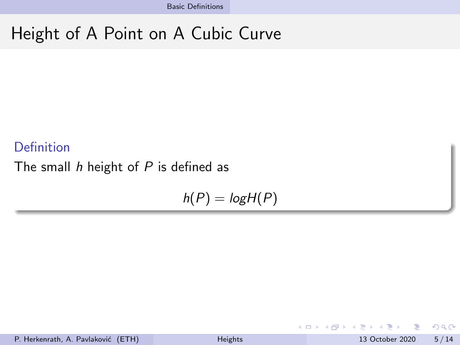# Height of A Point on A Cubic Curve

#### **Definition**

The small  $h$  height of  $P$  is defined as

 $h(P) = log H(P)$ 

目

イロト イ押ト イヨト イヨト

 $QQ$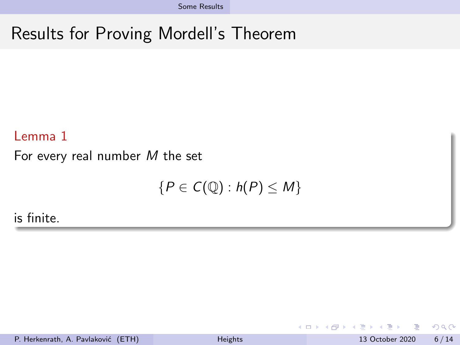## <span id="page-7-0"></span>Results for Proving Mordell's Theorem

### Lemma 1

For every real number M the set

$$
\{P\in C(\mathbb{Q}): h(P)\leq M\}
$$

### is finite.

э

イロト イ押ト イヨト イヨト

 $QQ$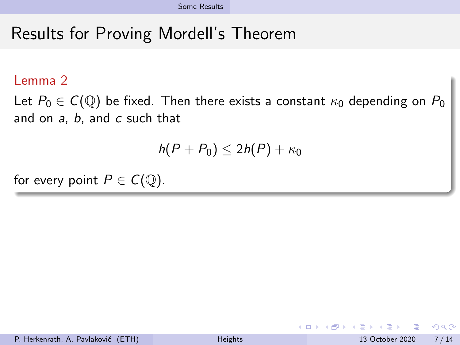### Results for Proving Mordell's Theorem

#### Lemma 2

Let  $P_0 \in C(\mathbb{Q})$  be fixed. Then there exists a constant  $\kappa_0$  depending on  $P_0$ and on  $a, b$ , and  $c$  such that

$$
h(P+P_0)\leq 2h(P)+\kappa_0
$$

for every point  $P \in C(\mathbb{Q})$ .

 $200$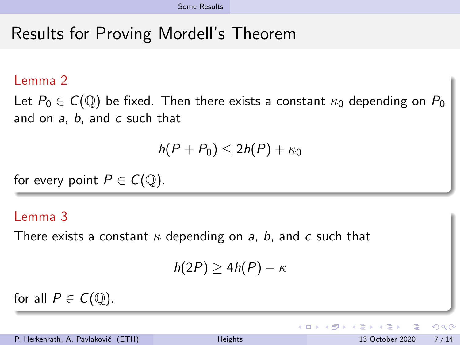### Results for Proving Mordell's Theorem

#### Lemma 2

Let  $P_0 \in C(\mathbb{Q})$  be fixed. Then there exists a constant  $\kappa_0$  depending on  $P_0$ and on  $a, b$ , and  $c$  such that

$$
h(P+P_0)\leq 2h(P)+\kappa_0
$$

for every point  $P \in C(\mathbb{Q})$ .

#### Lemma 3

There exists a constant  $\kappa$  depending on a, b, and c such that

$$
h(2P) \geq 4h(P) - \kappa
$$

for all  $P \in C(\mathbb{Q})$ .

P. Herkenrath, A. Pavlaković (ETH) http://www.discoperation.com/en/math/state/en/math/2020 7/14

э

 $200$ 

イロト イ押ト イヨト イヨト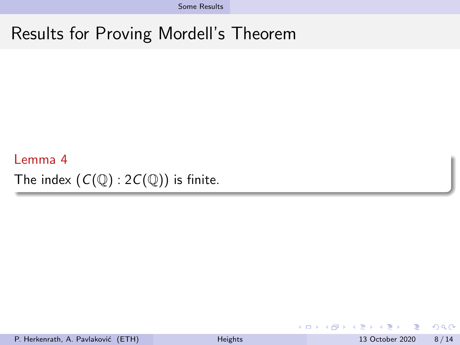[Some Results](#page-7-0)

## Results for Proving Mordell's Theorem

### Lemma 4

The index  $(C(\mathbb{Q}): 2C(\mathbb{Q}))$  is finite.

目

 $QQ$ 

イロト イ押ト イヨト イヨト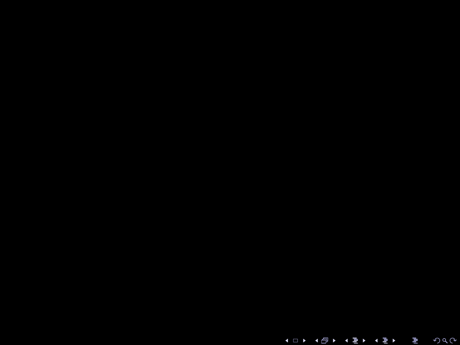#### **KO ▶ K@ ▶ K 통 ▶ K 통 ▶ 통 ← 9 Q ①**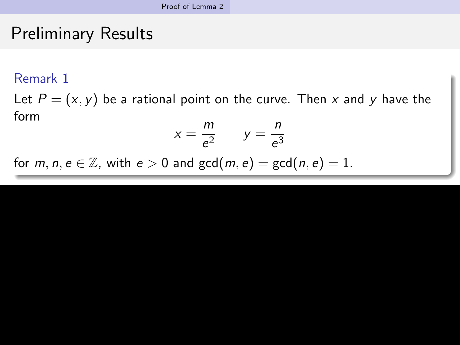### <span id="page-12-0"></span>Preliminary Results

#### Remark 1

Let  $P = (x, y)$  be a rational point on the curve. Then x and y have the form

$$
x = \frac{m}{e^2} \qquad y = \frac{n}{e^3}
$$

for  $m, n, e \in \mathbb{Z}$ , with  $e > 0$  and  $gcd(m, e) = gcd(n, e) = 1$ .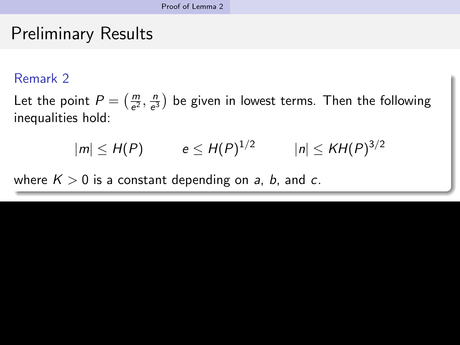### Preliminary Results

### Remark 2

Let the point  $P = \left(\frac{m}{e^2}, \frac{n}{e^3}\right)$  $\frac{n}{e^3}$ ) be given in lowest terms. Then the following inequalities hold:

$$
|m| \le H(P) \qquad e \le H(P)^{1/2} \qquad |n| \le KH(P)^{3/2}
$$

where  $K > 0$  is a constant depending on a, b, and c.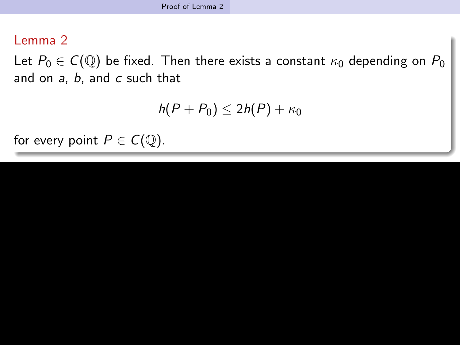### Lemma 2

Let  $P_0 \in C(\mathbb{Q})$  be fixed. Then there exists a constant  $\kappa_0$  depending on  $P_0$ and on  $a$ ,  $b$ , and  $c$  such that

$$
h(P+P_0)\leq 2h(P)+\kappa_0
$$

for every point  $P \in C(\mathbb{Q})$ .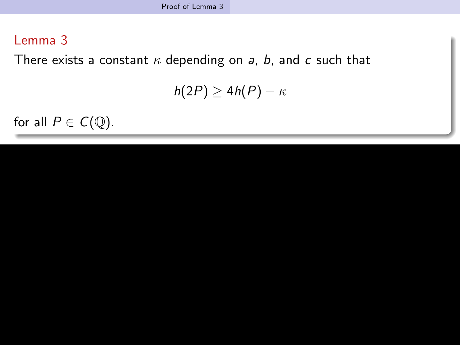### <span id="page-15-0"></span>Lemma 3

There exists a constant  $\kappa$  depending on a, b, and c such that

$$
h(2P) \geq 4h(P) - \kappa
$$

for all  $P \in C(\mathbb{Q})$ .